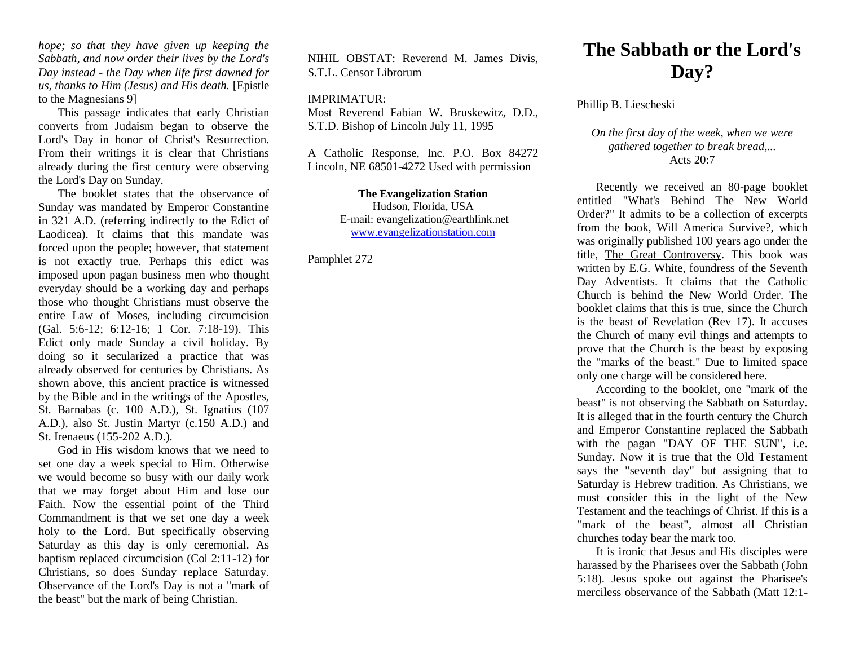*hope; so that they have given up keeping the Sabbath, and now order their lives by the Lord's Day instead - the Day when life first dawned for us, thanks to Him (Jesus) and His death.* [Epistle to the Magnesians 9]

This passage indicates that early Christian converts from Judaism began to observe the Lord's Day in honor of Christ's Resurrection. From their writings it is clear that Christians already during the first century were observing the Lord's Day on Sunday.

The booklet states that the observance of Sunday was mandated by Emperor Constantine in 321 A.D. (referring indirectly to the Edict of Laodicea). It claims that this mandate was forced upon the people; however, that statement is not exactly true. Perhaps this edict was imposed upon pagan business men who thought everyday should be a working day and perhaps those who thought Christians must observe the entire Law of Moses, including circumcision (Gal. 5:6-12; 6:12-16; 1 Cor. 7:18-19). This Edict only made Sunday a civil holiday. By doing so it secularized a practice that was already observed for centuries by Christians. As shown above, this ancient practice is witnessed by the Bible and in the writings of the Apostles, St. Barnabas (c. 100 A.D.), St. Ignatius (107 A.D.), also St. Justin Martyr (c.150 A.D.) and St. Irenaeus (155-202 A.D.).

God in His wisdom knows that we need to set one day a week special to Him. Otherwise we would become so busy with our daily work that we may forget about Him and lose our Faith. Now the essential point of the Third Commandment is that we set one day a week holy to the Lord. But specifically observing Saturday as this day is only ceremonial. As baptism replaced circumcision (Col 2:11-12) for Christians, so does Sunday replace Saturday. Observance of the Lord's Day is not a "mark of the beast" but the mark of being Christian.

NIHIL OBSTAT: Reverend M. James Divis, S.T.L. Censor Librorum

#### IMPRIMATUR:

Most Reverend Fabian W. Bruskewitz, D.D., S.T.D. Bishop of Lincoln July 11, 1995

A Catholic Response, Inc. P.O. Box 84272 Lincoln, NE 68501-4272 Used with permission

> **The Evangelization Station** Hudson, Florida, USA E-mail: evangelization@earthlink.net [www.evangelizationstation.com](http://www.pjpiisoe.org/)

Pamphlet 272

# **The Sabbath or the Lord's Day?**

# Phillip B. Liescheski

## *On the first day of the week, when we were gathered together to break bread,...* Acts 20:7

Recently we received an 80-page booklet entitled "What's Behind The New World Order?" It admits to be a collection of excerpts from the book, Will America Survive?, which was originally published 100 years ago under the title, The Great Controversy. This book was written by E.G. White, foundress of the Seventh Day Adventists. It claims that the Catholic Church is behind the New World Order. The booklet claims that this is true, since the Church is the beast of Revelation (Rev 17). It accuses the Church of many evil things and attempts to prove that the Church is the beast by exposing the "marks of the beast." Due to limited space only one charge will be considered here.

According to the booklet, one "mark of the beast" is not observing the Sabbath on Saturday. It is alleged that in the fourth century the Church and Emperor Constantine replaced the Sabbath with the pagan "DAY OF THE SUN", i.e. Sunday. Now it is true that the Old Testament says the "seventh day" but assigning that to Saturday is Hebrew tradition. As Christians, we must consider this in the light of the New Testament and the teachings of Christ. If this is a "mark of the beast", almost all Christian churches today bear the mark too.

It is ironic that Jesus and His disciples were harassed by the Pharisees over the Sabbath (John 5:18). Jesus spoke out against the Pharisee's merciless observance of the Sabbath (Matt 12:1